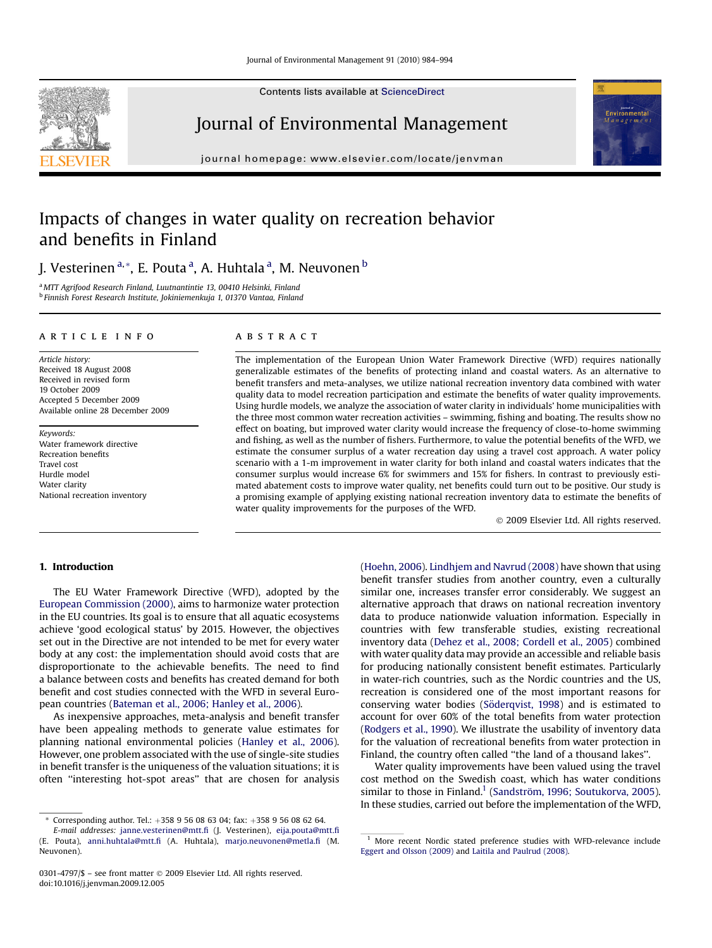Contents lists available at [ScienceDirect](www.sciencedirect.com/science/journal/03014797)

# Journal of Environmental Management

journal homepage: [www.elsevier.com/locate/jenvman](http://www.elsevier.com/locate/jenvman)

# Impacts of changes in water quality on recreation behavior and benefits in Finland

J. Vesterinen <sup>a, \*</sup>, E. Pouta <sup>a</sup>, A. Huhtala <sup>a</sup>, M. Neuvonen <sup>b</sup>

<sup>a</sup> MTT Agrifood Research Finland, Luutnantintie 13, 00410 Helsinki, Finland <sup>b</sup> Finnish Forest Research Institute, Jokiniemenkuja 1, 01370 Vantaa, Finland

#### article info

Article history: Received 18 August 2008 Received in revised form 19 October 2009 Accepted 5 December 2009 Available online 28 December 2009

Keywords: Water framework directive Recreation benefits Travel cost Hurdle model Water clarity National recreation inventory

### ABSTRACT

The implementation of the European Union Water Framework Directive (WFD) requires nationally generalizable estimates of the benefits of protecting inland and coastal waters. As an alternative to benefit transfers and meta-analyses, we utilize national recreation inventory data combined with water quality data to model recreation participation and estimate the benefits of water quality improvements. Using hurdle models, we analyze the association of water clarity in individuals' home municipalities with the three most common water recreation activities – swimming, fishing and boating. The results show no effect on boating, but improved water clarity would increase the frequency of close-to-home swimming and fishing, as well as the number of fishers. Furthermore, to value the potential benefits of the WFD, we estimate the consumer surplus of a water recreation day using a travel cost approach. A water policy scenario with a 1-m improvement in water clarity for both inland and coastal waters indicates that the consumer surplus would increase 6% for swimmers and 15% for fishers. In contrast to previously estimated abatement costs to improve water quality, net benefits could turn out to be positive. Our study is a promising example of applying existing national recreation inventory data to estimate the benefits of water quality improvements for the purposes of the WFD.

- 2009 Elsevier Ltd. All rights reserved.

# 1. Introduction

The EU Water Framework Directive (WFD), adopted by the [European Commission \(2000\),](#page-9-0) aims to harmonize water protection in the EU countries. Its goal is to ensure that all aquatic ecosystems achieve 'good ecological status' by 2015. However, the objectives set out in the Directive are not intended to be met for every water body at any cost: the implementation should avoid costs that are disproportionate to the achievable benefits. The need to find a balance between costs and benefits has created demand for both benefit and cost studies connected with the WFD in several European countries [\(Bateman et al., 2006; Hanley et al., 2006](#page-9-0)).

As inexpensive approaches, meta-analysis and benefit transfer have been appealing methods to generate value estimates for planning national environmental policies [\(Hanley et al., 2006\)](#page-10-0). However, one problem associated with the use of single-site studies in benefit transfer is the uniqueness of the valuation situations; it is often ''interesting hot-spot areas'' that are chosen for analysis ([Hoehn, 2006\)](#page-10-0). [Lindhjem and Navrud \(2008\)](#page-10-0) have shown that using benefit transfer studies from another country, even a culturally similar one, increases transfer error considerably. We suggest an alternative approach that draws on national recreation inventory data to produce nationwide valuation information. Especially in countries with few transferable studies, existing recreational inventory data [\(Dehez et al., 2008; Cordell et al., 2005\)](#page-9-0) combined with water quality data may provide an accessible and reliable basis for producing nationally consistent benefit estimates. Particularly in water-rich countries, such as the Nordic countries and the US, recreation is considered one of the most important reasons for conserving water bodies (Söderqvist, 1998) and is estimated to account for over 60% of the total benefits from water protection ([Rodgers et al., 1990\)](#page-10-0). We illustrate the usability of inventory data for the valuation of recreational benefits from water protection in Finland, the country often called ''the land of a thousand lakes''.

Water quality improvements have been valued using the travel cost method on the Swedish coast, which has water conditions similar to those in Finland.<sup>1</sup> (Sandström, 1996; Soutukorva, 2005). In these studies, carried out before the implementation of the WFD,

<sup>\*</sup> Corresponding author. Tel.:  $+358$  9 56 08 63 04; fax:  $+358$  9 56 08 62 64.

E-mail addresses: [janne.vesterinen@mtt.fi](mailto:janne.vesterinen@mtt.fi) (J. Vesterinen), [eija.pouta@mtt.fi](mailto:eija.pouta@mtt.fi) (E. Pouta), [anni.huhtala@mtt.fi](mailto:anni.huhtala@mtt.fi) (A. Huhtala), [marjo.neuvonen@metla.fi](mailto:marjo.neuvonen@metla.fi) (M. Neuvonen).

<sup>0301-4797/\$ –</sup> see front matter © 2009 Elsevier Ltd. All rights reserved. doi:10.1016/j.jenvman.2009.12.005

<sup>1</sup> More recent Nordic stated preference studies with WFD-relevance include [Eggert and Olsson \(2009\)](#page-9-0) and [Laitila and Paulrud \(2008\)](#page-10-0).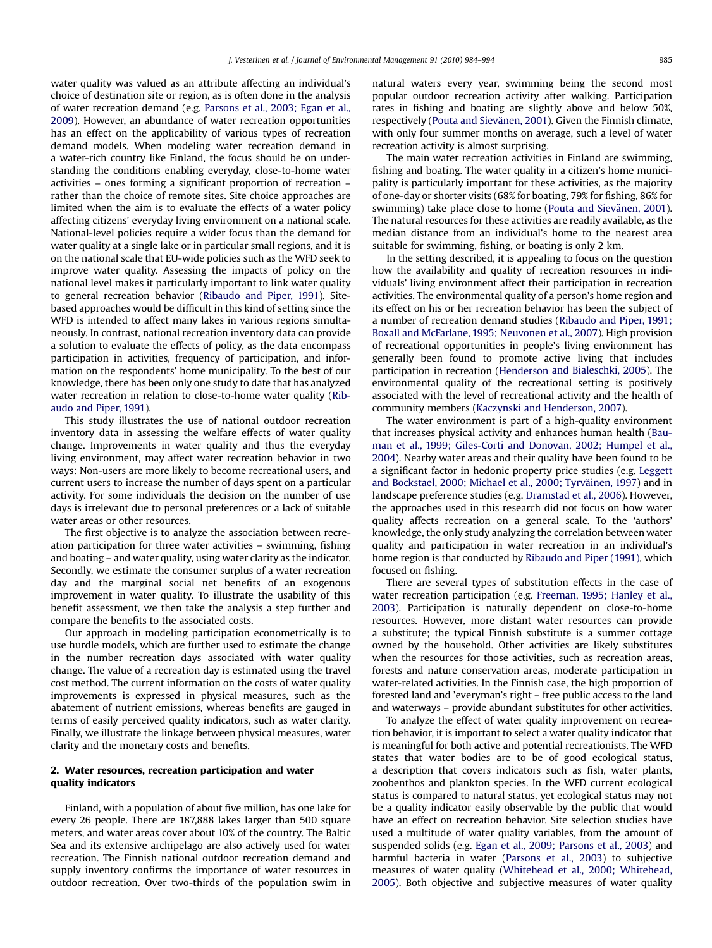water quality was valued as an attribute affecting an individual's choice of destination site or region, as is often done in the analysis of water recreation demand (e.g. [Parsons et al., 2003; Egan et al.,](#page-10-0) [2009\)](#page-10-0). However, an abundance of water recreation opportunities has an effect on the applicability of various types of recreation demand models. When modeling water recreation demand in a water-rich country like Finland, the focus should be on understanding the conditions enabling everyday, close-to-home water activities – ones forming a significant proportion of recreation – rather than the choice of remote sites. Site choice approaches are limited when the aim is to evaluate the effects of a water policy affecting citizens' everyday living environment on a national scale. National-level policies require a wider focus than the demand for water quality at a single lake or in particular small regions, and it is on the national scale that EU-wide policies such as the WFD seek to improve water quality. Assessing the impacts of policy on the national level makes it particularly important to link water quality to general recreation behavior ([Ribaudo and Piper, 1991\)](#page-10-0). Sitebased approaches would be difficult in this kind of setting since the WFD is intended to affect many lakes in various regions simultaneously. In contrast, national recreation inventory data can provide a solution to evaluate the effects of policy, as the data encompass participation in activities, frequency of participation, and information on the respondents' home municipality. To the best of our knowledge, there has been only one study to date that has analyzed water recreation in relation to close-to-home water quality ([Rib](#page-10-0)[audo and Piper, 1991\)](#page-10-0).

This study illustrates the use of national outdoor recreation inventory data in assessing the welfare effects of water quality change. Improvements in water quality and thus the everyday living environment, may affect water recreation behavior in two ways: Non-users are more likely to become recreational users, and current users to increase the number of days spent on a particular activity. For some individuals the decision on the number of use days is irrelevant due to personal preferences or a lack of suitable water areas or other resources.

The first objective is to analyze the association between recreation participation for three water activities – swimming, fishing and boating – and water quality, using water clarity as the indicator. Secondly, we estimate the consumer surplus of a water recreation day and the marginal social net benefits of an exogenous improvement in water quality. To illustrate the usability of this benefit assessment, we then take the analysis a step further and compare the benefits to the associated costs.

Our approach in modeling participation econometrically is to use hurdle models, which are further used to estimate the change in the number recreation days associated with water quality change. The value of a recreation day is estimated using the travel cost method. The current information on the costs of water quality improvements is expressed in physical measures, such as the abatement of nutrient emissions, whereas benefits are gauged in terms of easily perceived quality indicators, such as water clarity. Finally, we illustrate the linkage between physical measures, water clarity and the monetary costs and benefits.

# 2. Water resources, recreation participation and water quality indicators

Finland, with a population of about five million, has one lake for every 26 people. There are 187,888 lakes larger than 500 square meters, and water areas cover about 10% of the country. The Baltic Sea and its extensive archipelago are also actively used for water recreation. The Finnish national outdoor recreation demand and supply inventory confirms the importance of water resources in outdoor recreation. Over two-thirds of the population swim in

natural waters every year, swimming being the second most popular outdoor recreation activity after walking. Participation rates in fishing and boating are slightly above and below 50%, respectively (Pouta and Sievänen, 2001). Given the Finnish climate, with only four summer months on average, such a level of water recreation activity is almost surprising.

The main water recreation activities in Finland are swimming, fishing and boating. The water quality in a citizen's home municipality is particularly important for these activities, as the majority of one-day or shorter visits (68% for boating, 79% for fishing, 86% for swimming) take place close to home (Pouta and Sievänen, 2001). The natural resources for these activities are readily available, as the median distance from an individual's home to the nearest area suitable for swimming, fishing, or boating is only 2 km.

In the setting described, it is appealing to focus on the question how the availability and quality of recreation resources in individuals' living environment affect their participation in recreation activities. The environmental quality of a person's home region and its effect on his or her recreation behavior has been the subject of a number of recreation demand studies ([Ribaudo and Piper, 1991;](#page-10-0) [Boxall and McFarlane, 1995; Neuvonen et al., 2007](#page-10-0)). High provision of recreational opportunities in people's living environment has generally been found to promote active living that includes participation in recreation (Henderson and [Bialeschki, 2005\)](#page-10-0). The environmental quality of the recreational setting is positively associated with the level of recreational activity and the health of community members ([Kaczynski and Henderson, 2007](#page-10-0)).

The water environment is part of a high-quality environment that increases physical activity and enhances human health [\(Bau](#page-9-0)[man et al., 1999; Giles-Corti and Donovan, 2002; Humpel et al.,](#page-9-0) [2004\)](#page-9-0). Nearby water areas and their quality have been found to be a significant factor in hedonic property price studies (e.g. [Leggett](#page-10-0) and Bockstael, 2000; Michael et al., 2000; Tyrväinen, 1997) and in landscape preference studies (e.g. [Dramstad et al., 2006](#page-9-0)). However, the approaches used in this research did not focus on how water quality affects recreation on a general scale. To the 'authors' knowledge, the only study analyzing the correlation between water quality and participation in water recreation in an individual's home region is that conducted by [Ribaudo and Piper \(1991\)](#page-10-0), which focused on fishing.

There are several types of substitution effects in the case of water recreation participation (e.g. [Freeman, 1995; Hanley et al.,](#page-9-0) [2003\)](#page-9-0). Participation is naturally dependent on close-to-home resources. However, more distant water resources can provide a substitute; the typical Finnish substitute is a summer cottage owned by the household. Other activities are likely substitutes when the resources for those activities, such as recreation areas, forests and nature conservation areas, moderate participation in water-related activities. In the Finnish case, the high proportion of forested land and 'everyman's right – free public access to the land and waterways – provide abundant substitutes for other activities.

To analyze the effect of water quality improvement on recreation behavior, it is important to select a water quality indicator that is meaningful for both active and potential recreationists. The WFD states that water bodies are to be of good ecological status, a description that covers indicators such as fish, water plants, zoobenthos and plankton species. In the WFD current ecological status is compared to natural status, yet ecological status may not be a quality indicator easily observable by the public that would have an effect on recreation behavior. Site selection studies have used a multitude of water quality variables, from the amount of suspended solids (e.g. [Egan et al., 2009; Parsons et al., 2003](#page-9-0)) and harmful bacteria in water [\(Parsons et al., 2003](#page-10-0)) to subjective measures of water quality [\(Whitehead et al., 2000; Whitehead,](#page-10-0) [2005\)](#page-10-0). Both objective and subjective measures of water quality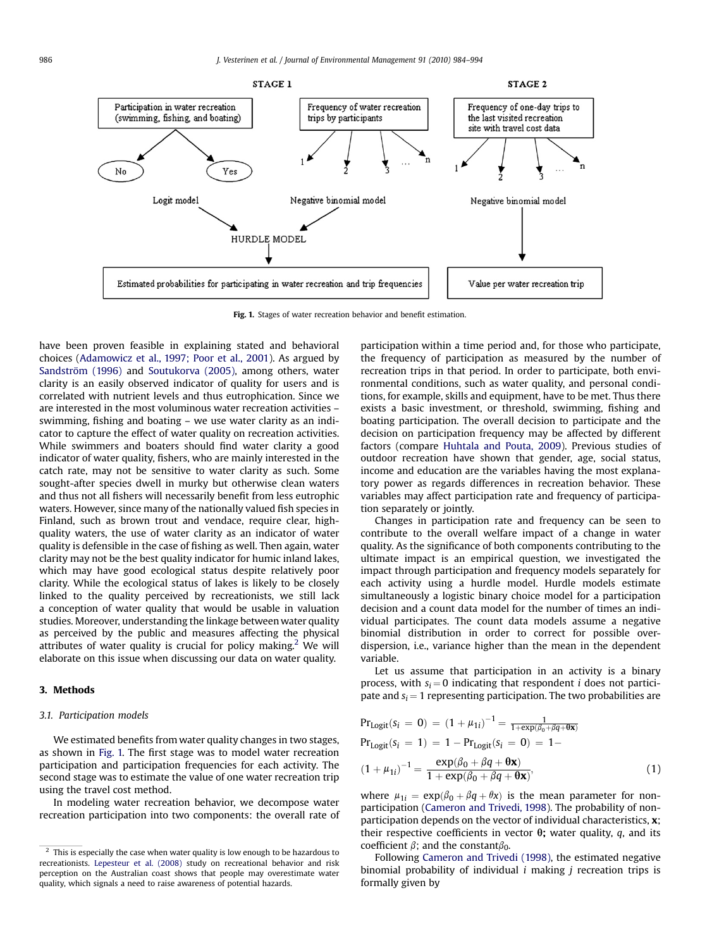<span id="page-2-0"></span>

Fig. 1. Stages of water recreation behavior and benefit estimation.

have been proven feasible in explaining stated and behavioral choices ([Adamowicz et al., 1997; Poor et al., 2001](#page-9-0)). As argued by Sandström (1996) and [Soutukorva \(2005\)](#page-10-0), among others, water clarity is an easily observed indicator of quality for users and is correlated with nutrient levels and thus eutrophication. Since we are interested in the most voluminous water recreation activities – swimming, fishing and boating – we use water clarity as an indicator to capture the effect of water quality on recreation activities. While swimmers and boaters should find water clarity a good indicator of water quality, fishers, who are mainly interested in the catch rate, may not be sensitive to water clarity as such. Some sought-after species dwell in murky but otherwise clean waters and thus not all fishers will necessarily benefit from less eutrophic waters. However, since many of the nationally valued fish species in Finland, such as brown trout and vendace, require clear, highquality waters, the use of water clarity as an indicator of water quality is defensible in the case of fishing as well. Then again, water clarity may not be the best quality indicator for humic inland lakes, which may have good ecological status despite relatively poor clarity. While the ecological status of lakes is likely to be closely linked to the quality perceived by recreationists, we still lack a conception of water quality that would be usable in valuation studies. Moreover, understanding the linkage between water quality as perceived by the public and measures affecting the physical attributes of water quality is crucial for policy making.<sup>2</sup> We will elaborate on this issue when discussing our data on water quality.

# 3. Methods

#### 3.1. Participation models

We estimated benefits from water quality changes in two stages, as shown in Fig. 1. The first stage was to model water recreation participation and participation frequencies for each activity. The second stage was to estimate the value of one water recreation trip using the travel cost method.

In modeling water recreation behavior, we decompose water recreation participation into two components: the overall rate of participation within a time period and, for those who participate, the frequency of participation as measured by the number of recreation trips in that period. In order to participate, both environmental conditions, such as water quality, and personal conditions, for example, skills and equipment, have to be met. Thus there exists a basic investment, or threshold, swimming, fishing and boating participation. The overall decision to participate and the decision on participation frequency may be affected by different factors (compare [Huhtala and Pouta, 2009\)](#page-10-0). Previous studies of outdoor recreation have shown that gender, age, social status, income and education are the variables having the most explanatory power as regards differences in recreation behavior. These variables may affect participation rate and frequency of participation separately or jointly.

Changes in participation rate and frequency can be seen to contribute to the overall welfare impact of a change in water quality. As the significance of both components contributing to the ultimate impact is an empirical question, we investigated the impact through participation and frequency models separately for each activity using a hurdle model. Hurdle models estimate simultaneously a logistic binary choice model for a participation decision and a count data model for the number of times an individual participates. The count data models assume a negative binomial distribution in order to correct for possible overdispersion, i.e., variance higher than the mean in the dependent variable.

Let us assume that participation in an activity is a binary process, with  $s_i = 0$  indicating that respondent *i* does not participate and  $s_i = 1$  representing participation. The two probabilities are

$$
Pr_{Logit}(s_i = 0) = (1 + \mu_{1i})^{-1} = \frac{1}{1 + \exp(\beta_0 + \beta q + \theta x)}
$$
  
\n
$$
Pr_{Logit}(s_i = 1) = 1 - Pr_{Logit}(s_i = 0) = 1 -
$$
  
\n
$$
(1 + \mu_{1i})^{-1} = \frac{\exp(\beta_0 + \beta q + \theta x)}{1 + \exp(\beta_0 + \beta q + \theta x)},
$$
\n(1)

where  $\mu_{1i} = \exp(\beta_0 + \beta q + \theta x)$  is the mean parameter for nonparticipation ([Cameron and Trivedi, 1998](#page-9-0)). The probability of nonparticipation depends on the vector of individual characteristics, x; their respective coefficients in vector  $\theta$ ; water quality, q, and its coefficient  $\beta$ ; and the constant $\beta_0$ .

Following [Cameron and Trivedi \(1998\),](#page-9-0) the estimated negative binomial probability of individual  $i$  making  $j$  recreation trips is formally given by

 $\frac{1}{2}$  This is especially the case when water quality is low enough to be hazardous to recreationists. [Lepesteur et al. \(2008\)](#page-10-0) study on recreational behavior and risk perception on the Australian coast shows that people may overestimate water quality, which signals a need to raise awareness of potential hazards.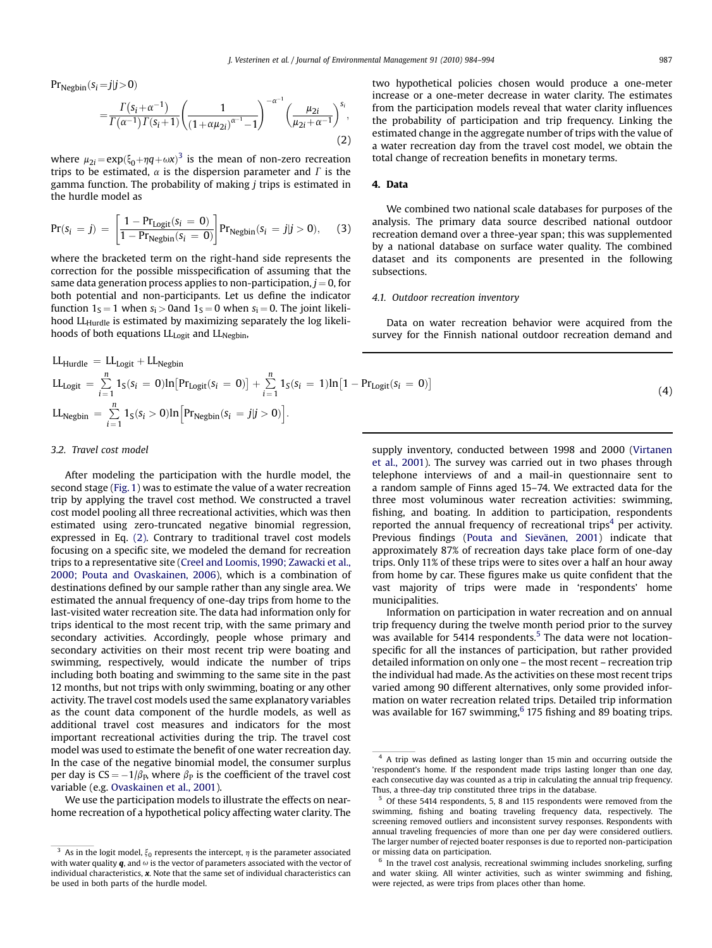$$
Pr_{Negbin}(s_i = j | j > 0)
$$
  
=  $\frac{\Gamma(s_i + \alpha^{-1})}{\Gamma(\alpha^{-1})\Gamma(s_i + 1)} \left(\frac{1}{(1 + \alpha \mu_{2i})^{\alpha^{-1}} - 1}\right)^{-\alpha^{-1}} \left(\frac{\mu_{2i}}{\mu_{2i} + \alpha^{-1}}\right)^{s_i},$   
(2)

where  $\mu_{2i} = \exp(\xi_0 + \eta q + \omega x)^3$  is the mean of non-zero recreation trips to be estimated,  $\alpha$  is the dispersion parameter and  $\Gamma$  is the gamma function. The probability of making  $j$  trips is estimated in the hurdle model as

$$
Pr(s_i = j) = \left[\frac{1 - Pr_{Logit}(s_i = 0)}{1 - Pr_{Negbin}(s_i = 0)}\right] Pr_{Negbin}(s_i = j | j > 0),
$$
 (3)

where the bracketed term on the right-hand side represents the correction for the possible misspecification of assuming that the same data generation process applies to non-participation,  $j = 0$ , for both potential and non-participants. Let us define the indicator function  $1<sub>S</sub> = 1$  when  $s<sub>i</sub> > 0$  and  $1<sub>S</sub> = 0$  when  $s<sub>i</sub> = 0$ . The joint likelihood LL<sub>Hurdle</sub> is estimated by maximizing separately the log likelihoods of both equations  $LL_{Logit}$  and  $LL_{Negbin}$ ,

$$
LL_{Hurdle} = LL_{Logit} + LL_{Negbin}
$$
  
\n
$$
LL_{Logit} = \sum_{i=1}^{n} 1_{S}(s_{i} = 0) \ln[Pr_{Logit}(s_{i} = 0)] + \sum_{i=1}^{n} 1_{S}(s_{i} = 1) \ln[1 - Pr_{Logit}(s_{i} = 0)]
$$
  
\n
$$
LL_{Negbin} = \sum_{i=1}^{n} 1_{S}(s_{i} > 0) \ln[Pr_{Negbin}(s_{i} = j | j > 0)].
$$

3.2. Travel cost model

After modeling the participation with the hurdle model, the second stage [\(Fig. 1](#page-2-0)) was to estimate the value of a water recreation trip by applying the travel cost method. We constructed a travel cost model pooling all three recreational activities, which was then estimated using zero-truncated negative binomial regression, expressed in Eq. (2). Contrary to traditional travel cost models focusing on a specific site, we modeled the demand for recreation trips to a representative site [\(Creel and Loomis, 1990; Zawacki et al.,](#page-9-0) [2000; Pouta and Ovaskainen, 2006\)](#page-9-0), which is a combination of destinations defined by our sample rather than any single area. We estimated the annual frequency of one-day trips from home to the last-visited water recreation site. The data had information only for trips identical to the most recent trip, with the same primary and secondary activities. Accordingly, people whose primary and secondary activities on their most recent trip were boating and swimming, respectively, would indicate the number of trips including both boating and swimming to the same site in the past 12 months, but not trips with only swimming, boating or any other activity. The travel cost models used the same explanatory variables as the count data component of the hurdle models, as well as additional travel cost measures and indicators for the most important recreational activities during the trip. The travel cost model was used to estimate the benefit of one water recreation day. In the case of the negative binomial model, the consumer surplus per day is CS  $= -1/\beta_{\rm P}$ , where  $\beta_{\rm P}$  is the coefficient of the travel cost variable (e.g. [Ovaskainen et al., 2001\)](#page-10-0).

We use the participation models to illustrate the effects on nearhome recreation of a hypothetical policy affecting water clarity. The two hypothetical policies chosen would produce a one-meter increase or a one-meter decrease in water clarity. The estimates from the participation models reveal that water clarity influences the probability of participation and trip frequency. Linking the estimated change in the aggregate number of trips with the value of a water recreation day from the travel cost model, we obtain the total change of recreation benefits in monetary terms.

### 4. Data

We combined two national scale databases for purposes of the analysis. The primary data source described national outdoor recreation demand over a three-year span; this was supplemented by a national database on surface water quality. The combined dataset and its components are presented in the following subsections.

#### 4.1. Outdoor recreation inventory

Data on water recreation behavior were acquired from the survey for the Finnish national outdoor recreation demand and

supply inventory, conducted between 1998 and 2000 ([Virtanen](#page-10-0) [et al., 2001](#page-10-0)). The survey was carried out in two phases through telephone interviews of and a mail-in questionnaire sent to a random sample of Finns aged 15–74. We extracted data for the three most voluminous water recreation activities: swimming, fishing, and boating. In addition to participation, respondents reported the annual frequency of recreational trips<sup>4</sup> per activity. Previous findings ([Pouta and Sieva¨nen, 2001\)](#page-10-0) indicate that approximately 87% of recreation days take place form of one-day trips. Only 11% of these trips were to sites over a half an hour away from home by car. These figures make us quite confident that the vast majority of trips were made in 'respondents' home municipalities.

Information on participation in water recreation and on annual trip frequency during the twelve month period prior to the survey was available for 5414 respondents.<sup>5</sup> The data were not locationspecific for all the instances of participation, but rather provided detailed information on only one – the most recent – recreation trip the individual had made. As the activities on these most recent trips varied among 90 different alternatives, only some provided information on water recreation related trips. Detailed trip information was available for 167 swimming,<sup>6</sup> 175 fishing and 89 boating trips.

(4)

<sup>&</sup>lt;sup>3</sup> As in the logit model,  $\xi_0$  represents the intercept,  $\eta$  is the parameter associated with water quality  $q$ , and  $\omega$  is the vector of parameters associated with the vector of individual characteristics,  $x$ . Note that the same set of individual characteristics can be used in both parts of the hurdle model.

<sup>4</sup> A trip was defined as lasting longer than 15 min and occurring outside the 'respondent's home. If the respondent made trips lasting longer than one day, each consecutive day was counted as a trip in calculating the annual trip frequency. Thus, a three-day trip constituted three trips in the database.

<sup>5</sup> Of these 5414 respondents, 5, 8 and 115 respondents were removed from the swimming, fishing and boating traveling frequency data, respectively. The screening removed outliers and inconsistent survey responses. Respondents with annual traveling frequencies of more than one per day were considered outliers. The larger number of rejected boater responses is due to reported non-participation or missing data on participation.

 $6\,$  In the travel cost analysis, recreational swimming includes snorkeling, surfing and water skiing. All winter activities, such as winter swimming and fishing, were rejected, as were trips from places other than home.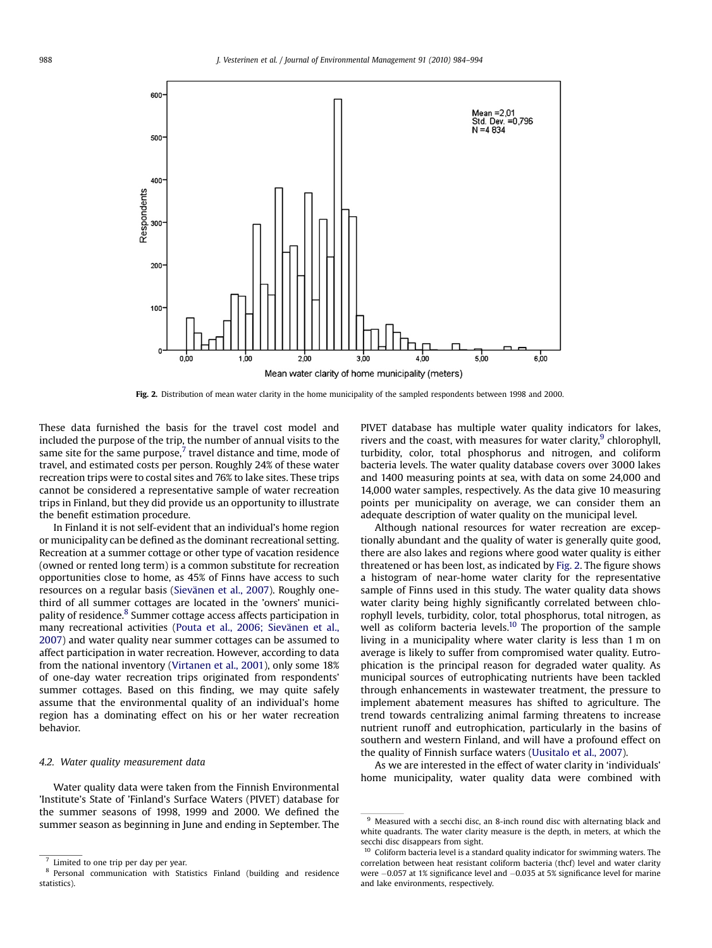

Fig. 2. Distribution of mean water clarity in the home municipality of the sampled respondents between 1998 and 2000.

These data furnished the basis for the travel cost model and included the purpose of the trip, the number of annual visits to the same site for the same purpose, $7$  travel distance and time, mode of travel, and estimated costs per person. Roughly 24% of these water recreation trips were to costal sites and 76% to lake sites. These trips cannot be considered a representative sample of water recreation trips in Finland, but they did provide us an opportunity to illustrate the benefit estimation procedure.

In Finland it is not self-evident that an individual's home region or municipality can be defined as the dominant recreational setting. Recreation at a summer cottage or other type of vacation residence (owned or rented long term) is a common substitute for recreation opportunities close to home, as 45% of Finns have access to such resources on a regular basis (Sievänen et al., 2007). Roughly onethird of all summer cottages are located in the 'owners' municipality of residence.<sup>8</sup> Summer cottage access affects participation in many recreational activities (Pouta et al., 2006; Sievänen et al., [2007\)](#page-10-0) and water quality near summer cottages can be assumed to affect participation in water recreation. However, according to data from the national inventory ([Virtanen et al., 2001\)](#page-10-0), only some 18% of one-day water recreation trips originated from respondents' summer cottages. Based on this finding, we may quite safely assume that the environmental quality of an individual's home region has a dominating effect on his or her water recreation behavior.

#### 4.2. Water quality measurement data

Water quality data were taken from the Finnish Environmental 'Institute's State of 'Finland's Surface Waters (PIVET) database for the summer seasons of 1998, 1999 and 2000. We defined the summer season as beginning in June and ending in September. The PIVET database has multiple water quality indicators for lakes, rivers and the coast, with measures for water clarity, $9$  chlorophyll, turbidity, color, total phosphorus and nitrogen, and coliform bacteria levels. The water quality database covers over 3000 lakes and 1400 measuring points at sea, with data on some 24,000 and 14,000 water samples, respectively. As the data give 10 measuring points per municipality on average, we can consider them an adequate description of water quality on the municipal level.

Although national resources for water recreation are exceptionally abundant and the quality of water is generally quite good, there are also lakes and regions where good water quality is either threatened or has been lost, as indicated by Fig. 2. The figure shows a histogram of near-home water clarity for the representative sample of Finns used in this study. The water quality data shows water clarity being highly significantly correlated between chlorophyll levels, turbidity, color, total phosphorus, total nitrogen, as well as coliform bacteria levels.<sup>10</sup> The proportion of the sample living in a municipality where water clarity is less than 1 m on average is likely to suffer from compromised water quality. Eutrophication is the principal reason for degraded water quality. As municipal sources of eutrophicating nutrients have been tackled through enhancements in wastewater treatment, the pressure to implement abatement measures has shifted to agriculture. The trend towards centralizing animal farming threatens to increase nutrient runoff and eutrophication, particularly in the basins of southern and western Finland, and will have a profound effect on the quality of Finnish surface waters [\(Uusitalo et al., 2007\)](#page-10-0).

As we are interested in the effect of water clarity in 'individuals' home municipality, water quality data were combined with

<sup>7</sup> Limited to one trip per day per year.

<sup>8</sup> Personal communication with Statistics Finland (building and residence statistics).

 $\overline{9}$  Measured with a secchi disc, an 8-inch round disc with alternating black and white quadrants. The water clarity measure is the depth, in meters, at which the secchi disc disappears from sight.

<sup>&</sup>lt;sup>10</sup> Coliform bacteria level is a standard quality indicator for swimming waters. The correlation between heat resistant coliform bacteria (thcf) level and water clarity were  $-0.057$  at 1% significance level and  $-0.035$  at 5% significance level for marine and lake environments, respectively.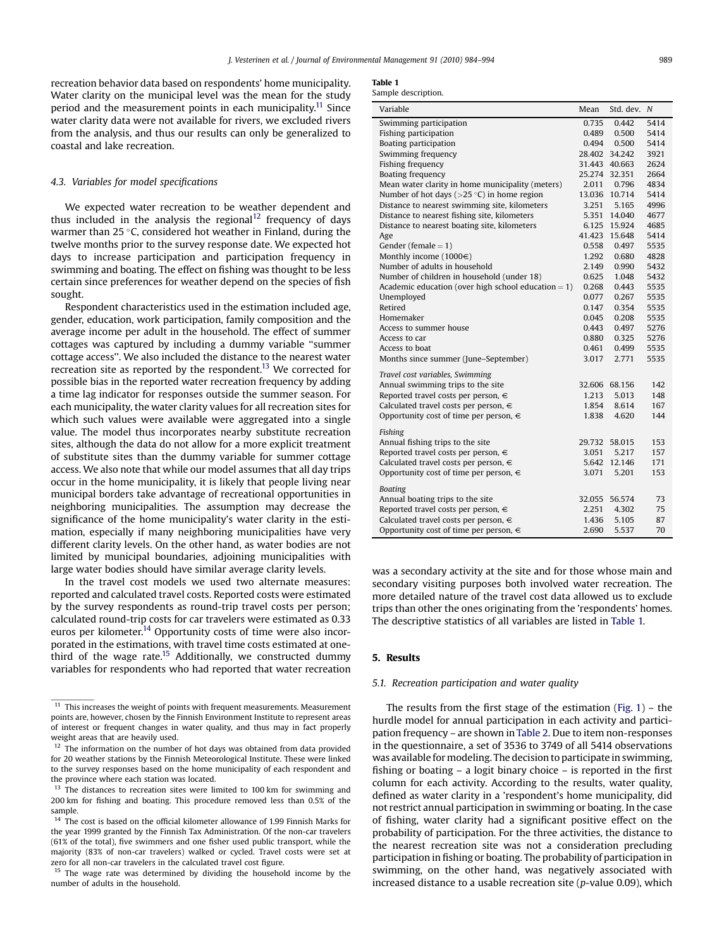<span id="page-5-0"></span>recreation behavior data based on respondents' home municipality. Water clarity on the municipal level was the mean for the study period and the measurement points in each municipality.<sup>11</sup> Since water clarity data were not available for rivers, we excluded rivers from the analysis, and thus our results can only be generalized to coastal and lake recreation.

#### 4.3. Variables for model specifications

We expected water recreation to be weather dependent and thus included in the analysis the regional<sup>12</sup> frequency of days warmer than  $25^{\circ}$ C, considered hot weather in Finland, during the twelve months prior to the survey response date. We expected hot days to increase participation and participation frequency in swimming and boating. The effect on fishing was thought to be less certain since preferences for weather depend on the species of fish sought.

Respondent characteristics used in the estimation included age, gender, education, work participation, family composition and the average income per adult in the household. The effect of summer cottages was captured by including a dummy variable ''summer cottage access''. We also included the distance to the nearest water recreation site as reported by the respondent.<sup>13</sup> We corrected for possible bias in the reported water recreation frequency by adding a time lag indicator for responses outside the summer season. For each municipality, the water clarity values for all recreation sites for which such values were available were aggregated into a single value. The model thus incorporates nearby substitute recreation sites, although the data do not allow for a more explicit treatment of substitute sites than the dummy variable for summer cottage access. We also note that while our model assumes that all day trips occur in the home municipality, it is likely that people living near municipal borders take advantage of recreational opportunities in neighboring municipalities. The assumption may decrease the significance of the home municipality's water clarity in the estimation, especially if many neighboring municipalities have very different clarity levels. On the other hand, as water bodies are not limited by municipal boundaries, adjoining municipalities with large water bodies should have similar average clarity levels.

In the travel cost models we used two alternate measures: reported and calculated travel costs. Reported costs were estimated by the survey respondents as round-trip travel costs per person; calculated round-trip costs for car travelers were estimated as 0.33 euros per kilometer.<sup>14</sup> Opportunity costs of time were also incorporated in the estimations, with travel time costs estimated at onethird of the wage rate.<sup>15</sup> Additionally, we constructed dummy variables for respondents who had reported that water recreation

| Table |  |
|-------|--|
|       |  |

| Sample description. |  |  |  |  |  |  |
|---------------------|--|--|--|--|--|--|
|---------------------|--|--|--|--|--|--|

| Variable                                               | Mean   | Std. dev. N   |      |
|--------------------------------------------------------|--------|---------------|------|
| Swimming participation                                 | 0.735  | 0.442         | 5414 |
| Fishing participation                                  | 0.489  | 0.500         | 5414 |
| Boating participation                                  | 0.494  | 0.500         | 5414 |
| Swimming frequency                                     |        | 28.402 34.242 | 3921 |
| Fishing frequency                                      | 31.443 | 40.663        | 2624 |
| Boating frequency                                      |        | 25.274 32.351 | 2664 |
| Mean water clarity in home municipality (meters)       | 2.011  | 0.796         | 4834 |
| Number of hot days ( $>25$ °C) in home region          | 13.036 | 10.714        | 5414 |
| Distance to nearest swimming site, kilometers          | 3.251  | 5.165         | 4996 |
| Distance to nearest fishing site, kilometers           | 5.351  | 14.040        | 4677 |
| Distance to nearest boating site, kilometers           | 6.125  | 15.924        | 4685 |
| Age                                                    | 41.423 | 15.648        | 5414 |
| Gender (female $= 1$ )                                 | 0.558  | 0.497         | 5535 |
| Monthly income (1000 $\in$ )                           | 1.292  | 0.680         | 4828 |
| Number of adults in household                          | 2.149  | 0.990         | 5432 |
| Number of children in household (under 18)             | 0.625  | 1.048         | 5432 |
| Academic education (over high school education $= 1$ ) | 0.268  | 0.443         | 5535 |
| Unemployed                                             | 0.077  | 0.267         | 5535 |
| Retired                                                | 0.147  | 0.354         | 5535 |
| Homemaker                                              | 0.045  | 0.208         | 5535 |
| Access to summer house                                 | 0.443  | 0.497         | 5276 |
| Access to car                                          | 0.880  | 0.325         | 5276 |
| Access to boat                                         | 0.461  | 0.499         | 5535 |
| Months since summer (June-September)                   | 3.017  | 2.771         | 5535 |
| Travel cost variables, Swimming                        |        |               |      |
| Annual swimming trips to the site                      |        | 32.606 68.156 | 142  |
| Reported travel costs per person, $\in$                | 1.213  | 5.013         | 148  |
| Calculated travel costs per person, $\in$              | 1.854  | 8.614         | 167  |
| Opportunity cost of time per person, $\in$             | 1.838  | 4.620         | 144  |
| Fishing                                                |        |               |      |
| Annual fishing trips to the site                       | 29.732 | 58.015        | 153  |
| Reported travel costs per person, $\in$                | 3.051  | 5.217         | 157  |
| Calculated travel costs per person, $\in$              | 5.642  | 12.146        | 171  |
| Opportunity cost of time per person, $\in$             | 3.071  | 5.201         | 153  |
| <b>Boating</b>                                         |        |               |      |
| Annual boating trips to the site                       |        | 32.055 56.574 | 73   |
| Reported travel costs per person, $\in$                | 2.251  | 4.302         | 75   |
| Calculated travel costs per person, $\in$              | 1.436  | 5.105         | 87   |
| Opportunity cost of time per person, $\in$             | 2.690  | 5.537         | 70   |

was a secondary activity at the site and for those whose main and secondary visiting purposes both involved water recreation. The more detailed nature of the travel cost data allowed us to exclude trips than other the ones originating from the 'respondents' homes. The descriptive statistics of all variables are listed in Table 1.

#### 5. Results

#### 5.1. Recreation participation and water quality

The results from the first stage of the estimation (Fig.  $1$ ) – the hurdle model for annual participation in each activity and participation frequency – are shown in [Table 2.](#page-6-0) Due to item non-responses in the questionnaire, a set of 3536 to 3749 of all 5414 observations was available for modeling. The decision to participate in swimming, fishing or boating – a logit binary choice – is reported in the first column for each activity. According to the results, water quality, defined as water clarity in a 'respondent's home municipality, did not restrict annual participation in swimming or boating. In the case of fishing, water clarity had a significant positive effect on the probability of participation. For the three activities, the distance to the nearest recreation site was not a consideration precluding participation in fishing or boating. The probability of participation in swimming, on the other hand, was negatively associated with increased distance to a usable recreation site (p-value 0.09), which

 $\frac{11}{11}$  This increases the weight of points with frequent measurements. Measurement points are, however, chosen by the Finnish Environment Institute to represent areas of interest or frequent changes in water quality, and thus may in fact properly weight areas that are heavily used.

 $12$  The information on the number of hot days was obtained from data provided for 20 weather stations by the Finnish Meteorological Institute. These were linked to the survey responses based on the home municipality of each respondent and the province where each station was located.

 $13$  The distances to recreation sites were limited to 100 km for swimming and 200 km for fishing and boating. This procedure removed less than 0.5% of the sample.

<sup>&</sup>lt;sup>14</sup> The cost is based on the official kilometer allowance of 1.99 Finnish Marks for the year 1999 granted by the Finnish Tax Administration. Of the non-car travelers (61% of the total), five swimmers and one fisher used public transport, while the majority (83% of non-car travelers) walked or cycled. Travel costs were set at zero for all non-car travelers in the calculated travel cost figure.

<sup>&</sup>lt;sup>15</sup> The wage rate was determined by dividing the household income by the number of adults in the household.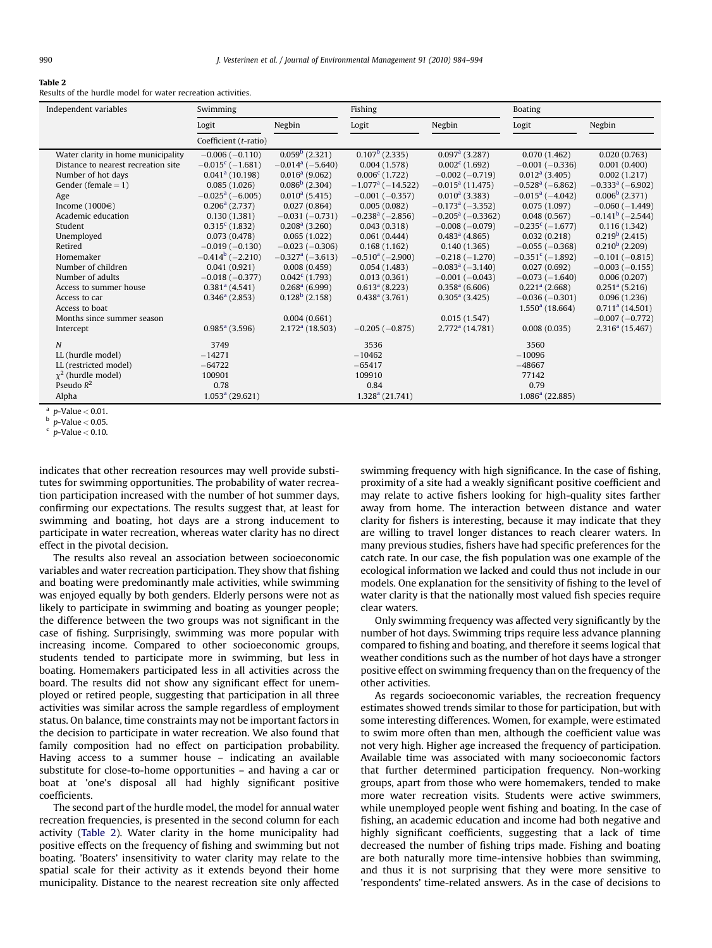#### <span id="page-6-0"></span>Table 2

Results of the hurdle model for water recreation activities.

| Independent variables               | Swimming                           |                                    | Fishing                             |                                    | <b>Boating</b>                     |                                |
|-------------------------------------|------------------------------------|------------------------------------|-------------------------------------|------------------------------------|------------------------------------|--------------------------------|
|                                     | Logit                              | Negbin                             | Logit                               | Negbin                             | Logit                              | Negbin                         |
|                                     | Coefficient (t-ratio)              |                                    |                                     |                                    |                                    |                                |
| Water clarity in home municipality  | $-0.006(-0.110)$                   | $\overline{0.059^b}$ (2.321)       | $\overline{0.107^b}$ (2.335)        | $0.097a$ (3.287)                   | 0.070(1.462)                       | 0.020(0.763)                   |
| Distance to nearest recreation site | $-0.015^c$ (-1.681)                | $-0.014$ <sup>a</sup> ( $-5.640$ ) | 0.004(1.578)                        | $0.002^c$ (1.692)                  | $-0.001(-0.336)$                   | 0.001(0.400)                   |
| Number of hot days                  | $0.041a$ (10.198)                  | $0.016a$ (9.062)                   | $0.006^c(1.722)$                    | $-0.002$ ( $-0.719$ )              | $0.012a$ (3.405)                   | 0.002(1.217)                   |
| Gender (female $= 1$ )              | 0.085(1.026)                       | $0.086b$ (2.304)                   | $-1.077$ <sup>a</sup> ( $-14.522$ ) | $-0.015a$ (11.475)                 | $-0.528$ <sup>a</sup> (-6.862)     | $-0.333$ <sup>a</sup> (-6.902) |
| Age                                 | $-0.025$ <sup>a</sup> ( $-6.005$ ) | $0.010a$ (5.415)                   | $-0.001(-0.357)$                    | $0.010a$ (3.383)                   | $-0.015$ <sup>a</sup> ( $-4.042$ ) | $0.006b$ (2.371)               |
| Income (1000 $\in$ )                | $0.206a$ (2.737)                   | 0.027(0.864)                       | 0.005(0.082)                        | $-0.173a$ (-3.352)                 | 0.075(1.097)                       | $-0.060(-1.449)$               |
| Academic education                  | 0.130(1.381)                       | $-0.031(-0.731)$                   | $-0.238$ <sup>a</sup> ( $-2.856$ )  | $-0.205^{\text{a}}$ (-0.3362)      | 0.048(0.567)                       | $-0.141^b$ (-2.544)            |
| Student                             | $0.315$ <sup>c</sup> (1.832)       | $0.208a$ (3.260)                   | 0.043(0.318)                        | $-0.008(-0.079)$                   | $-0.235$ <sup>c</sup> ( $-1.677$ ) | 0.116(1.342)                   |
| Unemployed                          | 0.073(0.478)                       | 0.065(1.022)                       | 0.061(0.444)                        | $0.483a$ (4.865)                   | 0.032(0.218)                       | $0.219b$ (2.415)               |
| Retired                             | $-0.019(-0.130)$                   | $-0.023(-0.306)$                   | 0.168(1.162)                        | 0.140(1.365)                       | $-0.055(-0.368)$                   | $0.210b$ (2.209)               |
| Homemaker                           | $-0.414^b$ (-2.210)                | $-0.327$ <sup>a</sup> ( $-3.613$ ) | $-0.510a$ (-2.900)                  | $-0.218(-1.270)$                   | $-0.351$ <sup>c</sup> (-1.892)     | $-0.101(-0.815)$               |
| Number of children                  | 0.041(0.921)                       | 0.008(0.459)                       | 0.054(1.483)                        | $-0.083$ <sup>a</sup> ( $-3.140$ ) | 0.027(0.692)                       | $-0.003(-0.155)$               |
| Number of adults                    | $-0.018(-0.377)$                   | $0.042^{\circ}$ (1.793)            | 0.013(0.361)                        | $-0.001(-0.043)$                   | $-0.073(-1.640)$                   | 0.006(0.207)                   |
| Access to summer house              | $0.381a$ (4.541)                   | $0.268a$ (6.999)                   | $0.613a$ (8.223)                    | $0.358a$ (6.606)                   | $0.221a$ (2.668)                   | $0.251a$ (5.216)               |
| Access to car                       | $0.346a$ (2.853)                   | $0.128^b$ (2.158)                  | $0.438a$ (3.761)                    | $0.305a$ (3.425)                   | $-0.036(-0.301)$                   | 0.096(1.236)                   |
| Access to boat                      |                                    |                                    |                                     |                                    | $1.550a$ (18.664)                  | $0.711a$ (14.501)              |
| Months since summer season          |                                    | 0.004(0.661)                       |                                     | 0.015(1.547)                       |                                    | $-0.007(-0.772)$               |
| Intercept                           | $0.985a$ (3.596)                   | $2.172a$ (18.503)                  | $-0.205(-0.875)$                    | $2.772a$ (14.781)                  | 0.008(0.035)                       | $2.316a$ (15.467)              |
| $\boldsymbol{N}$                    | 3749                               |                                    | 3536                                |                                    | 3560                               |                                |
| LL (hurdle model)                   | $-14271$                           |                                    | $-10462$                            |                                    | $-10096$                           |                                |
| LL (restricted model)               | $-64722$                           |                                    | $-65417$                            |                                    | $-48667$                           |                                |
| $\chi^2$ (hurdle model)             | 100901                             |                                    | 109910                              |                                    | 77142                              |                                |
| Pseudo $R^2$                        | 0.78                               |                                    | 0.84                                |                                    | 0.79                               |                                |
| Alpha                               | $1.053a$ (29.621)                  |                                    | $1.328a$ (21.741)                   |                                    | $1.086a$ (22.885)                  |                                |

 $p$ -Value  $< 0.01$ .

 $p$ -Value  $< 0.10$ .

indicates that other recreation resources may well provide substitutes for swimming opportunities. The probability of water recreation participation increased with the number of hot summer days, confirming our expectations. The results suggest that, at least for swimming and boating, hot days are a strong inducement to participate in water recreation, whereas water clarity has no direct effect in the pivotal decision.

The results also reveal an association between socioeconomic variables and water recreation participation. They show that fishing and boating were predominantly male activities, while swimming was enjoyed equally by both genders. Elderly persons were not as likely to participate in swimming and boating as younger people; the difference between the two groups was not significant in the case of fishing. Surprisingly, swimming was more popular with increasing income. Compared to other socioeconomic groups, students tended to participate more in swimming, but less in boating. Homemakers participated less in all activities across the board. The results did not show any significant effect for unemployed or retired people, suggesting that participation in all three activities was similar across the sample regardless of employment status. On balance, time constraints may not be important factors in the decision to participate in water recreation. We also found that family composition had no effect on participation probability. Having access to a summer house – indicating an available substitute for close-to-home opportunities – and having a car or boat at 'one's disposal all had highly significant positive coefficients.

The second part of the hurdle model, the model for annual water recreation frequencies, is presented in the second column for each activity (Table 2). Water clarity in the home municipality had positive effects on the frequency of fishing and swimming but not boating. 'Boaters' insensitivity to water clarity may relate to the spatial scale for their activity as it extends beyond their home municipality. Distance to the nearest recreation site only affected swimming frequency with high significance. In the case of fishing, proximity of a site had a weakly significant positive coefficient and may relate to active fishers looking for high-quality sites farther away from home. The interaction between distance and water clarity for fishers is interesting, because it may indicate that they are willing to travel longer distances to reach clearer waters. In many previous studies, fishers have had specific preferences for the catch rate. In our case, the fish population was one example of the ecological information we lacked and could thus not include in our models. One explanation for the sensitivity of fishing to the level of water clarity is that the nationally most valued fish species require clear waters.

Only swimming frequency was affected very significantly by the number of hot days. Swimming trips require less advance planning compared to fishing and boating, and therefore it seems logical that weather conditions such as the number of hot days have a stronger positive effect on swimming frequency than on the frequency of the other activities.

As regards socioeconomic variables, the recreation frequency estimates showed trends similar to those for participation, but with some interesting differences. Women, for example, were estimated to swim more often than men, although the coefficient value was not very high. Higher age increased the frequency of participation. Available time was associated with many socioeconomic factors that further determined participation frequency. Non-working groups, apart from those who were homemakers, tended to make more water recreation visits. Students were active swimmers, while unemployed people went fishing and boating. In the case of fishing, an academic education and income had both negative and highly significant coefficients, suggesting that a lack of time decreased the number of fishing trips made. Fishing and boating are both naturally more time-intensive hobbies than swimming, and thus it is not surprising that they were more sensitive to 'respondents' time-related answers. As in the case of decisions to

 $p$ -Value  $< 0.05$ .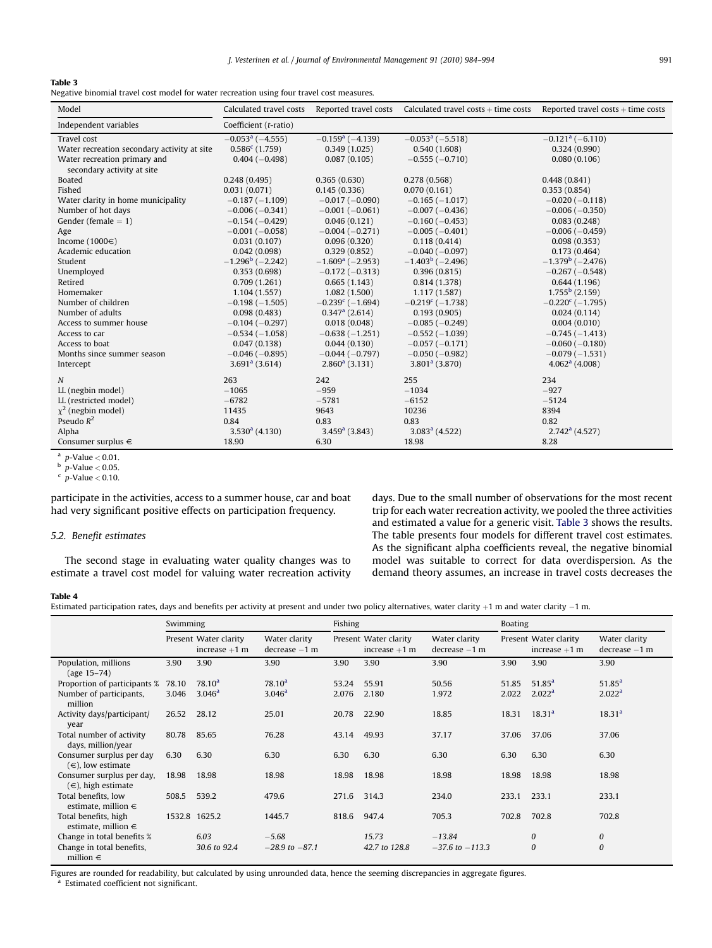# <span id="page-7-0"></span>Table 3

Negative binomial travel cost model for water recreation using four travel cost measures.

| Model                                       | Calculated travel costs   | Reported travel costs $\Box$ Calculated travel costs + time costs Reported travel costs + time costs |                       |                                    |
|---------------------------------------------|---------------------------|------------------------------------------------------------------------------------------------------|-----------------------|------------------------------------|
| Independent variables                       | Coefficient (t-ratio)     |                                                                                                      |                       |                                    |
| Travel cost                                 | $-0.053a$ (-4.555)        | $-0.159$ <sup>a</sup> ( $-4.139$ )                                                                   | $-0.053a$ (-5.518)    | $-0.121a$ (-6.110)                 |
| Water recreation secondary activity at site | $0.586^c(1.759)$          | 0.349(1.025)                                                                                         | 0.540(1.608)          | 0.324(0.990)                       |
| Water recreation primary and                | $0.404(-0.498)$           | 0.087(0.105)                                                                                         | $-0.555(-0.710)$      | 0.080(0.106)                       |
| secondary activity at site                  |                           |                                                                                                      |                       |                                    |
| Boated                                      | 0.248(0.495)              | 0.365(0.630)                                                                                         | 0.278(0.568)          | 0.448(0.841)                       |
| Fished                                      | 0.031(0.071)              | 0.145(0.336)                                                                                         | 0.070(0.161)          | 0.353(0.854)                       |
| Water clarity in home municipality          | $-0.187(-1.109)$          | $-0.017(-0.090)$                                                                                     | $-0.165(-1.017)$      | $-0.020(-0.118)$                   |
| Number of hot days                          | $-0.006(-0.341)$          | $-0.001(-0.061)$                                                                                     | $-0.007(-0.436)$      | $-0.006(-0.350)$                   |
| Gender (female $= 1$ )                      | $-0.154(-0.429)$          | 0.046(0.121)                                                                                         | $-0.160$ ( $-0.453$ ) | 0.083(0.248)                       |
| Age                                         | $-0.001(-0.058)$          | $-0.004(-0.271)$                                                                                     | $-0.005(-0.401)$      | $-0.006(-0.459)$                   |
| Income $(1000 \in )$                        | 0.031(0.107)              | 0.096(0.320)                                                                                         | 0.118(0.414)          | 0.098(0.353)                       |
| Academic education                          | 0.042(0.098)              | 0.329(0.852)                                                                                         | $-0.040$ ( $-0.097$ ) | 0.173(0.464)                       |
| Student                                     | $-1.296^{\rm b}$ (-2.242) | $-1.609a$ (-2.953)                                                                                   | $-1.403^b$ (-2.496)   | $-1.379^{\mathrm{b}}$ (-2.476)     |
| Unemployed                                  | 0.353(0.698)              | $-0.172(-0.313)$                                                                                     | 0.396(0.815)          | $-0.267(-0.548)$                   |
| Retired                                     | 0.709(1.261)              | 0.665(1.143)                                                                                         | 0.814(1.378)          | 0.644(1.196)                       |
| Homemaker                                   | 1.104(1.557)              | 1.082(1.500)                                                                                         | 1.117(1.587)          | $1.755b$ (2.159)                   |
| Number of children                          | $-0.198(-1.505)$          | $-0.239^c$ (-1.694)                                                                                  | $-0.219c(-1.738)$     | $-0.220$ <sup>c</sup> ( $-1.795$ ) |
| Number of adults                            | 0.098(0.483)              | $0.347a$ (2.614)                                                                                     | 0.193(0.905)          | 0.024(0.114)                       |
| Access to summer house                      | $-0.104(-0.297)$          | 0.018(0.048)                                                                                         | $-0.085(-0.249)$      | 0.004(0.010)                       |
| Access to car                               | $-0.534(-1.058)$          | $-0.638(-1.251)$                                                                                     | $-0.552(-1.039)$      | $-0.745(-1.413)$                   |
| Access to boat                              | 0.047(0.138)              | 0.044(0.130)                                                                                         | $-0.057(-0.171)$      | $-0.060$ ( $-0.180$ )              |
| Months since summer season                  | $-0.046(-0.895)$          | $-0.044(-0.797)$                                                                                     | $-0.050(-0.982)$      | $-0.079(-1.531)$                   |
| Intercept                                   | $3.691a$ (3.614)          | $2.860a$ (3.131)                                                                                     | $3.801a$ (3.870)      | $4.062a$ (4.008)                   |
| N                                           | 263                       | 242                                                                                                  | 255                   | 234                                |
| LL (negbin model)                           | $-1065$                   | $-959$                                                                                               | $-1034$               | $-927$                             |
| LL (restricted model)                       | $-6782$                   | $-5781$                                                                                              | $-6152$               | $-5124$                            |
| $\chi^2$ (negbin model)                     | 11435                     | 9643                                                                                                 | 10236                 | 8394                               |
| Pseudo $R^2$                                | 0.84                      | 0.83                                                                                                 | 0.83                  | 0.82                               |
| Alpha                                       | $3.530a$ (4.130)          | $3.459a$ (3.843)                                                                                     | $3.083a$ (4.522)      | $2.742a$ (4.527)                   |
| Consumer surplus $\in$                      | 18.90                     | 6.30                                                                                                 | 18.98                 | 8.28                               |

 $\frac{a}{b}$  *p*-Value < 0.01.

 $p$ -Value  $< 0.10$ .

participate in the activities, access to a summer house, car and boat had very significant positive effects on participation frequency.

# 5.2. Benefit estimates

The second stage in evaluating water quality changes was to estimate a travel cost model for valuing water recreation activity

days. Due to the small number of observations for the most recent trip for each water recreation activity, we pooled the three activities and estimated a value for a generic visit. Table 3 shows the results. The table presents four models for different travel cost estimates. As the significant alpha coefficients reveal, the negative binomial model was suitable to correct for data overdispersion. As the demand theory assumes, an increase in travel costs decreases the

### Table 4

Estimated participation rates, days and benefits per activity at present and under two policy alternatives, water clarity +1 m and water clarity –1 m.

|                                                       | Swimming |                                          | Fishing                          |       |                                          | <b>Boating</b>                    |       |                                          |                                  |
|-------------------------------------------------------|----------|------------------------------------------|----------------------------------|-------|------------------------------------------|-----------------------------------|-------|------------------------------------------|----------------------------------|
|                                                       |          | Present Water clarity<br>increase $+1$ m | Water clarity<br>$decrease -1 m$ |       | Present Water clarity<br>increase $+1$ m | Water clarity<br>$decrease - 1 m$ |       | Present Water clarity<br>increase $+1$ m | Water clarity<br>$decrease -1$ m |
| Population, millions<br>(age 15–74)                   | 3.90     | 3.90                                     | 3.90                             | 3.90  | 3.90                                     | 3.90                              | 3.90  | 3.90                                     | 3.90                             |
| Proportion of participants %                          | 78.10    | $78.10^a$                                | $78.10^a$                        | 53.24 | 55.91                                    | 50.56                             | 51.85 | $51.85^{\rm a}$                          | $51.85^{\rm a}$                  |
| Number of participants,<br>million                    | 3.046    | 3.046 <sup>a</sup>                       | 3.046 <sup>a</sup>               | 2.076 | 2.180                                    | 1.972                             | 2.022 | 2.022 <sup>a</sup>                       | 2.022 <sup>a</sup>               |
| Activity days/participant/<br>year                    | 26.52    | 28.12                                    | 25.01                            | 20.78 | 22.90                                    | 18.85                             | 18.31 | 18.31 <sup>a</sup>                       | 18.31 <sup>a</sup>               |
| Total number of activity<br>days, million/year        | 80.78    | 85.65                                    | 76.28                            | 43.14 | 49.93                                    | 37.17                             | 37.06 | 37.06                                    | 37.06                            |
| Consumer surplus per day<br>$(\infty)$ , low estimate | 6.30     | 6.30                                     | 6.30                             | 6.30  | 6.30                                     | 6.30                              | 6.30  | 6.30                                     | 6.30                             |
| Consumer surplus per day,<br>$(\in)$ , high estimate  | 18.98    | 18.98                                    | 18.98                            | 18.98 | 18.98                                    | 18.98                             | 18.98 | 18.98                                    | 18.98                            |
| Total benefits, low<br>estimate, million $\in$        | 508.5    | 539.2                                    | 479.6                            | 271.6 | 314.3                                    | 234.0                             | 233.1 | 233.1                                    | 233.1                            |
| Total benefits, high<br>estimate, million $\in$       |          | 1532.8 1625.2                            | 1445.7                           | 818.6 | 947.4                                    | 705.3                             | 702.8 | 702.8                                    | 702.8                            |
| Change in total benefits %                            |          | 6.03                                     | $-5.68$                          |       | 15.73                                    | $-13.84$                          |       | 0                                        | $\boldsymbol{0}$                 |
| Change in total benefits,<br>million $\in$            |          | 30.6 to 92.4                             | $-28.9$ to $-87.1$               |       | 42.7 to 128.8                            | $-37.6$ to $-113.3$               |       | $\boldsymbol{0}$                         | $\boldsymbol{0}$                 |

Figures are rounded for readability, but calculated by using unrounded data, hence the seeming discrepancies in aggregate figures. Estimated coefficient not significant.

 $\frac{b}{c}$  p-Value < 0.05.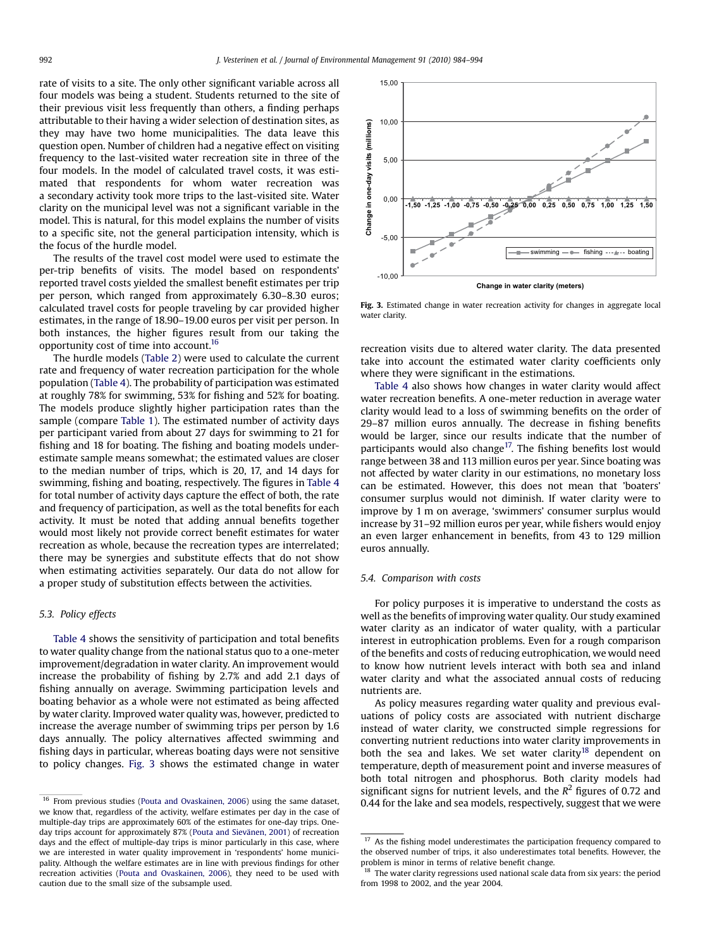rate of visits to a site. The only other significant variable across all four models was being a student. Students returned to the site of their previous visit less frequently than others, a finding perhaps attributable to their having a wider selection of destination sites, as they may have two home municipalities. The data leave this question open. Number of children had a negative effect on visiting frequency to the last-visited water recreation site in three of the four models. In the model of calculated travel costs, it was estimated that respondents for whom water recreation was a secondary activity took more trips to the last-visited site. Water clarity on the municipal level was not a significant variable in the model. This is natural, for this model explains the number of visits to a specific site, not the general participation intensity, which is the focus of the hurdle model.

The results of the travel cost model were used to estimate the per-trip benefits of visits. The model based on respondents' reported travel costs yielded the smallest benefit estimates per trip per person, which ranged from approximately 6.30–8.30 euros; calculated travel costs for people traveling by car provided higher estimates, in the range of 18.90–19.00 euros per visit per person. In both instances, the higher figures result from our taking the opportunity cost of time into account.16

The hurdle models [\(Table 2](#page-6-0)) were used to calculate the current rate and frequency of water recreation participation for the whole population ([Table 4](#page-7-0)). The probability of participation was estimated at roughly 78% for swimming, 53% for fishing and 52% for boating. The models produce slightly higher participation rates than the sample (compare [Table 1\)](#page-5-0). The estimated number of activity days per participant varied from about 27 days for swimming to 21 for fishing and 18 for boating. The fishing and boating models underestimate sample means somewhat; the estimated values are closer to the median number of trips, which is 20, 17, and 14 days for swimming, fishing and boating, respectively. The figures in [Table 4](#page-7-0) for total number of activity days capture the effect of both, the rate and frequency of participation, as well as the total benefits for each activity. It must be noted that adding annual benefits together would most likely not provide correct benefit estimates for water recreation as whole, because the recreation types are interrelated; there may be synergies and substitute effects that do not show when estimating activities separately. Our data do not allow for a proper study of substitution effects between the activities.

# 5.3. Policy effects

[Table 4](#page-7-0) shows the sensitivity of participation and total benefits to water quality change from the national status quo to a one-meter improvement/degradation in water clarity. An improvement would increase the probability of fishing by 2.7% and add 2.1 days of fishing annually on average. Swimming participation levels and boating behavior as a whole were not estimated as being affected by water clarity. Improved water quality was, however, predicted to increase the average number of swimming trips per person by 1.6 days annually. The policy alternatives affected swimming and fishing days in particular, whereas boating days were not sensitive to policy changes. Fig. 3 shows the estimated change in water



Fig. 3. Estimated change in water recreation activity for changes in aggregate local water clarity.

recreation visits due to altered water clarity. The data presented take into account the estimated water clarity coefficients only where they were significant in the estimations.

[Table 4](#page-7-0) also shows how changes in water clarity would affect water recreation benefits. A one-meter reduction in average water clarity would lead to a loss of swimming benefits on the order of 29–87 million euros annually. The decrease in fishing benefits would be larger, since our results indicate that the number of participants would also change<sup>17</sup>. The fishing benefits lost would range between 38 and 113 million euros per year. Since boating was not affected by water clarity in our estimations, no monetary loss can be estimated. However, this does not mean that 'boaters' consumer surplus would not diminish. If water clarity were to improve by 1 m on average, 'swimmers' consumer surplus would increase by 31–92 million euros per year, while fishers would enjoy an even larger enhancement in benefits, from 43 to 129 million euros annually.

#### 5.4. Comparison with costs

For policy purposes it is imperative to understand the costs as well as the benefits of improving water quality. Our study examined water clarity as an indicator of water quality, with a particular interest in eutrophication problems. Even for a rough comparison of the benefits and costs of reducing eutrophication, we would need to know how nutrient levels interact with both sea and inland water clarity and what the associated annual costs of reducing nutrients are.

As policy measures regarding water quality and previous evaluations of policy costs are associated with nutrient discharge instead of water clarity, we constructed simple regressions for converting nutrient reductions into water clarity improvements in both the sea and lakes. We set water clarity<sup>18</sup> dependent on temperature, depth of measurement point and inverse measures of both total nitrogen and phosphorus. Both clarity models had significant signs for nutrient levels, and the  $R^2$  figures of 0.72 and 0.44 for the lake and sea models, respectively, suggest that we were

<sup>&</sup>lt;sup>16</sup> From previous studies ([Pouta and Ovaskainen, 2006\)](#page-10-0) using the same dataset, we know that, regardless of the activity, welfare estimates per day in the case of multiple-day trips are approximately 60% of the estimates for one-day trips. Oneday trips account for approximately 87% (Pouta and Sievänen, 2001) of recreation days and the effect of multiple-day trips is minor particularly in this case, where we are interested in water quality improvement in 'respondents' home municipality. Although the welfare estimates are in line with previous findings for other recreation activities ([Pouta and Ovaskainen, 2006](#page-10-0)), they need to be used with caution due to the small size of the subsample used.

<sup>&</sup>lt;sup>17</sup> As the fishing model underestimates the participation frequency compared to the observed number of trips, it also underestimates total benefits. However, the problem is minor in terms of relative benefit change.

 $18$  The water clarity regressions used national scale data from six years: the period from 1998 to 2002, and the year 2004.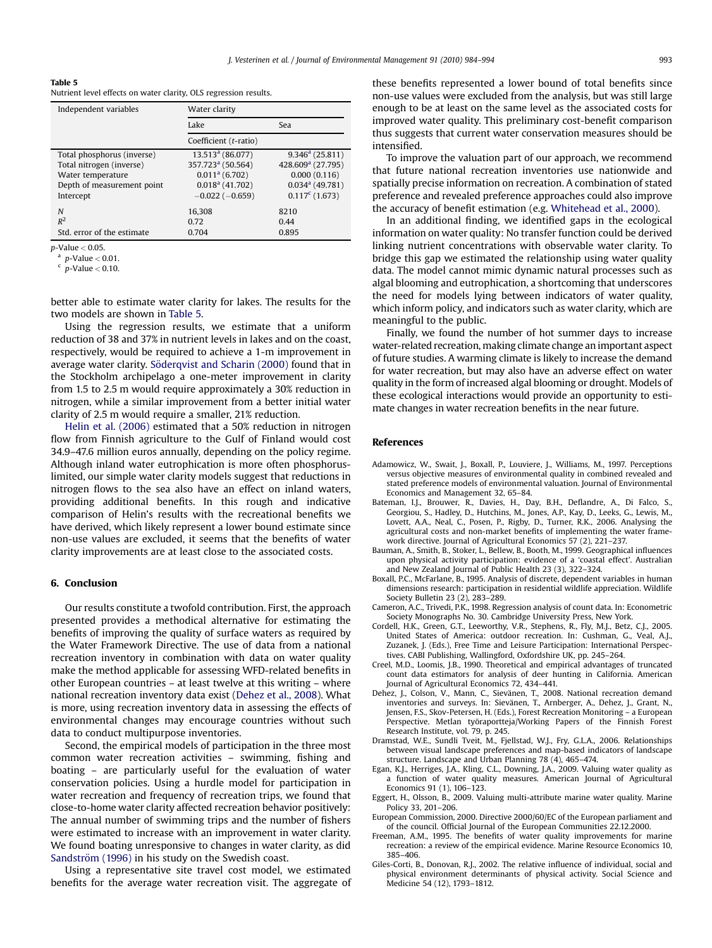#### <span id="page-9-0"></span>Table 5

Nutrient level effects on water clarity, OLS regression results.

| Independent variables      | Water clarity         |                               |  |  |  |  |
|----------------------------|-----------------------|-------------------------------|--|--|--|--|
|                            | Lake<br>Sea           |                               |  |  |  |  |
|                            | Coefficient (t-ratio) |                               |  |  |  |  |
| Total phosphorus (inverse) | $13.513a$ (86.077)    | $9.346a$ (25.811)             |  |  |  |  |
| Total nitrogen (inverse)   | $357.723a$ (50.564)   | 428.609 <sup>a</sup> (27.795) |  |  |  |  |
| Water temperature          | $0.011a$ (6.702)      | 0.000(0.116)                  |  |  |  |  |
| Depth of measurement point | $0.018a$ (41.702)     | $0.034a$ (49.781)             |  |  |  |  |
| Intercept                  | $-0.022$ ( $-0.659$ ) | $0.117c$ (1.673)              |  |  |  |  |
| N                          | 16.308                | 8210                          |  |  |  |  |
| $R^2$                      | 0.72                  | 0.44                          |  |  |  |  |
| Std. error of the estimate | 0.704                 | 0.895                         |  |  |  |  |

 $p$ -Value  $< 0.05$ 

 $p$ -Value  $< 0.01$ 

 $p$ -Value  $< 0.10$ .

better able to estimate water clarity for lakes. The results for the two models are shown in Table 5.

Using the regression results, we estimate that a uniform reduction of 38 and 37% in nutrient levels in lakes and on the coast, respectively, would be required to achieve a 1-m improvement in average water clarity. Söderqvist and Scharin (2000) found that in the Stockholm archipelago a one-meter improvement in clarity from 1.5 to 2.5 m would require approximately a 30% reduction in nitrogen, while a similar improvement from a better initial water clarity of 2.5 m would require a smaller, 21% reduction.

[Helin et al. \(2006\)](#page-10-0) estimated that a 50% reduction in nitrogen flow from Finnish agriculture to the Gulf of Finland would cost 34.9–47.6 million euros annually, depending on the policy regime. Although inland water eutrophication is more often phosphoruslimited, our simple water clarity models suggest that reductions in nitrogen flows to the sea also have an effect on inland waters, providing additional benefits. In this rough and indicative comparison of Helin's results with the recreational benefits we have derived, which likely represent a lower bound estimate since non-use values are excluded, it seems that the benefits of water clarity improvements are at least close to the associated costs.

# 6. Conclusion

Our results constitute a twofold contribution. First, the approach presented provides a methodical alternative for estimating the benefits of improving the quality of surface waters as required by the Water Framework Directive. The use of data from a national recreation inventory in combination with data on water quality make the method applicable for assessing WFD-related benefits in other European countries – at least twelve at this writing – where national recreation inventory data exist (Dehez et al., 2008). What is more, using recreation inventory data in assessing the effects of environmental changes may encourage countries without such data to conduct multipurpose inventories.

Second, the empirical models of participation in the three most common water recreation activities – swimming, fishing and boating – are particularly useful for the evaluation of water conservation policies. Using a hurdle model for participation in water recreation and frequency of recreation trips, we found that close-to-home water clarity affected recreation behavior positively: The annual number of swimming trips and the number of fishers were estimated to increase with an improvement in water clarity. We found boating unresponsive to changes in water clarity, as did Sandström (1996) in his study on the Swedish coast.

Using a representative site travel cost model, we estimated benefits for the average water recreation visit. The aggregate of these benefits represented a lower bound of total benefits since non-use values were excluded from the analysis, but was still large enough to be at least on the same level as the associated costs for improved water quality. This preliminary cost-benefit comparison thus suggests that current water conservation measures should be intensified.

To improve the valuation part of our approach, we recommend that future national recreation inventories use nationwide and spatially precise information on recreation. A combination of stated preference and revealed preference approaches could also improve the accuracy of benefit estimation (e.g. [Whitehead et al., 2000](#page-10-0)).

In an additional finding, we identified gaps in the ecological information on water quality: No transfer function could be derived linking nutrient concentrations with observable water clarity. To bridge this gap we estimated the relationship using water quality data. The model cannot mimic dynamic natural processes such as algal blooming and eutrophication, a shortcoming that underscores the need for models lying between indicators of water quality, which inform policy, and indicators such as water clarity, which are meaningful to the public.

Finally, we found the number of hot summer days to increase water-related recreation, making climate change an important aspect of future studies. A warming climate is likely to increase the demand for water recreation, but may also have an adverse effect on water quality in the form of increased algal blooming or drought. Models of these ecological interactions would provide an opportunity to estimate changes in water recreation benefits in the near future.

#### References

- Adamowicz, W., Swait, J., Boxall, P., Louviere, J., Williams, M., 1997. Perceptions versus objective measures of environmental quality in combined revealed and stated preference models of environmental valuation. Journal of Environmental Economics and Management 32, 65–84.
- Bateman, I.J., Brouwer, R., Davies, H., Day, B.H., Deflandre, A., Di Falco, S., Georgiou, S., Hadley, D., Hutchins, M., Jones, A.P., Kay, D., Leeks, G., Lewis, M., Lovett, A.A., Neal, C., Posen, P., Rigby, D., Turner, R.K., 2006. Analysing the agricultural costs and non-market benefits of implementing the water framework directive. Journal of Agricultural Economics 57 (2), 221–237.
- Bauman, A., Smith, B., Stoker, L., Bellew, B., Booth, M., 1999. Geographical influences upon physical activity participation: evidence of a 'coastal effect'. Australian and New Zealand Journal of Public Health 23 (3), 322–324.
- Boxall, P.C., McFarlane, B., 1995. Analysis of discrete, dependent variables in human dimensions research: participation in residential wildlife appreciation. Wildlife Society Bulletin 23 (2), 283–289.
- Cameron, A.C., Trivedi, P.K., 1998. Regression analysis of count data. In: Econometric Society Monographs No. 30. Cambridge University Press, New York.
- Cordell, H.K., Green, G.T., Leeworthy, V.R., Stephens, R., Fly, M.J., Betz, C.J., 2005. United States of America: outdoor recreation. In: Cushman, G., Veal, A.J., Zuzanek, J. (Eds.), Free Time and Leisure Participation: International Perspectives. CABI Publishing, Wallingford, Oxfordshire UK, pp. 245–264.
- Creel, M.D., Loomis, J.B., 1990. Theoretical and empirical advantages of truncated count data estimators for analysis of deer hunting in California. American Journal of Agricultural Economics 72, 434–441.
- Dehez, J., Colson, V., Mann, C., Sievänen, T., 2008. National recreation demand inventories and surveys. In: Sievänen, T., Arnberger, A., Dehez, J., Grant, N., Jensen, F.S., Skov-Petersen, H. (Eds.), Forest Recreation Monitoring – a European Perspective. Metlan työraportteja/Working Papers of the Finnish Forest Research Institute, vol. 79, p. 245.
- Dramstad, W.E., Sundli Tveit, M., Fjellstad, W.J., Fry, G.L.A., 2006. Relationships between visual landscape preferences and map-based indicators of landscape structure. Landscape and Urban Planning 78 (4), 465–474.
- Egan, K.J., Herriges, J.A., Kling, C.L., Downing, J.A., 2009. Valuing water quality as a function of water quality measures. American Journal of Agricultural Economics 91 (1), 106–123.
- Eggert, H., Olsson, B., 2009. Valuing multi-attribute marine water quality. Marine Policy 33, 201–206.
- European Commission, 2000. Directive 2000/60/EC of the European parliament and of the council. Official Journal of the European Communities 22.12.2000.
- Freeman, A.M., 1995. The benefits of water quality improvements for marine recreation: a review of the empirical evidence. Marine Resource Economics 10, 385–406.
- Giles-Corti, B., Donovan, R.J., 2002. The relative influence of individual, social and physical environment determinants of physical activity. Social Science and Medicine 54 (12), 1793–1812.